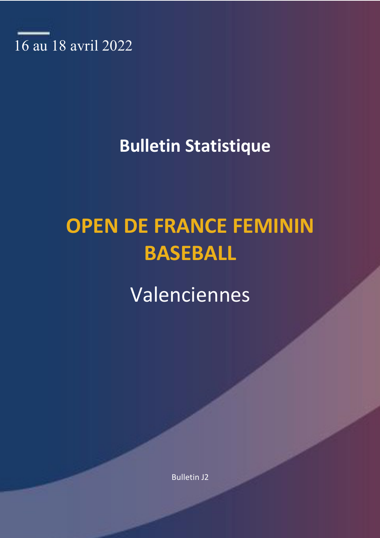

# **Bulletin Statistique**

# **OPEN DE FRANCE FEMININ BASEBALL**

Valenciennes

Bulletin J2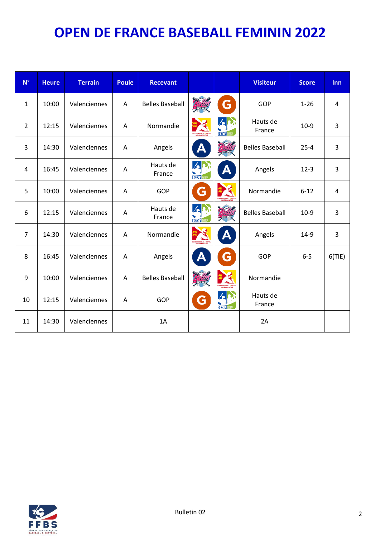| $N^{\circ}$    | <b>Heure</b> | <b>Terrain</b> | Poule | <b>Recevant</b>        |                            |                                                      | <b>Visiteur</b>        | <b>Score</b> | Inn    |
|----------------|--------------|----------------|-------|------------------------|----------------------------|------------------------------------------------------|------------------------|--------------|--------|
| $\mathbf{1}$   | 10:00        | Valenciennes   | A     | <b>Belles Baseball</b> | BASEBALL                   | G                                                    | GOP                    | $1 - 26$     | 4      |
| $\overline{2}$ | 12:15        | Valenciennes   | Α     | Normandie              |                            | $\mathbf{z}$<br>HDF                                  | Hauts de<br>France     | $10-9$       | 3      |
| 3              | 14:30        | Valenciennes   | A     | Angels                 | А                          | BASEBALL                                             | <b>Belles Baseball</b> | $25 - 4$     | 3      |
| 4              | 16:45        | Valenciennes   | A     | Hauts de<br>France     | $\Delta$<br><b>HDF</b>     | A                                                    | Angels                 | $12 - 3$     | 3      |
| 5              | 10:00        | Valenciennes   | Α     | <b>GOP</b>             | G                          |                                                      | Normandie              | $6 - 12$     | 4      |
| 6              | 12:15        | Valenciennes   | Α     | Hauts de<br>France     | $\mathbf{z}$<br><b>HOF</b> | <b>BASEBAL</b>                                       | <b>Belles Baseball</b> | $10-9$       | 3      |
| $\overline{7}$ | 14:30        | Valenciennes   | A     | Normandie              |                            | A                                                    | Angels                 | $14-9$       | 3      |
| 8              | 16:45        | Valenciennes   | A     | Angels                 | A                          | G                                                    | GOP                    | $6-5$        | 6(TIE) |
| 9              | 10:00        | Valenciennes   | Α     | <b>Belles Baseball</b> | <b>CISERIAL</b>            | 医<br><b>BUE DE BASEBALL » SCFTB.</b><br>NITRAA NITIE | Normandie              |              |        |
| 10             | 12:15        | Valenciennes   | Α     | <b>GOP</b>             | G                          | $\mathcal{L}$<br><b>HDF</b>                          | Hauts de<br>France     |              |        |
| 11             | 14:30        | Valenciennes   |       | 1A                     |                            |                                                      | 2A                     |              |        |

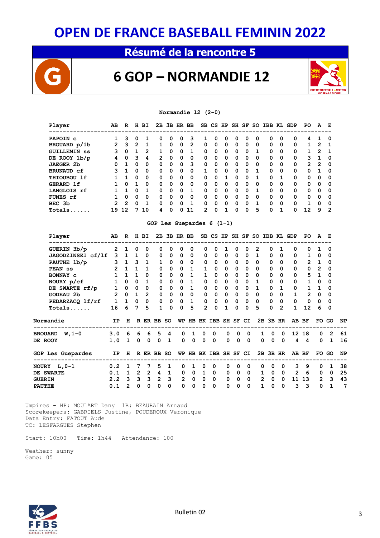### **Résumé de la rencontre 5**



### **6 GOP – NORMANDIE 12**



#### **Normandie 12 (2-0)**

| Player              | AВ            | R        | н | вI       |          |          | 2B 3B HR BB |          |          |          |   |          | SB CS HP SH SF | SO.      |          |          | <b>IBB KL GDP</b> | PO.      | A        | E        |
|---------------------|---------------|----------|---|----------|----------|----------|-------------|----------|----------|----------|---|----------|----------------|----------|----------|----------|-------------------|----------|----------|----------|
| PAPOIN C            |               | з        | 0 |          | 0        | 0        | 0           | 3        |          | Ω        | 0 | Ω        | 0              | 0        | 0        | 0        | 0                 | 4        |          | 0        |
| BROUARD p/1b        | 2             | 3        | 2 | 1        | 1        | 0        | $\Omega$    | 2        | 0        | 0        | 0 | 0        | 0              | $\Omega$ | 0        | 0        | 0                 | 1        | 2        | - 1      |
| <b>GUILLEMIN SS</b> | 3             | 0        |   | 2        |          | 0        | $\Omega$    | 1        | 0        | 0        | 0 | 0        | 0              | 1        | 0        | 0        | 0                 |          | 2        | -1       |
| DE ROOY 1b/p        | 4             | $\Omega$ | 3 | 4        | 2        | $\Omega$ | $\Omega$    | $\Omega$ | 0        | $\Omega$ | 0 | $\Omega$ | 0              | $\Omega$ | 0        | 0        | 0                 | 3        | 1        | 0        |
| <b>JAEGER 2b</b>    | 0             | 1        | 0 | $\Omega$ | 0        | 0        | $\Omega$    | 3        | 0        | 0        | 0 | 0        | 0              | $\Omega$ | 0        | $\Omega$ | $\Omega$          | 2        | 2        | - 0      |
| <b>BRUNAUD cf</b>   | 3             |          | 0 | 0        | $\Omega$ | 0        | $\Omega$    | 0        |          | 0        | 0 | 0        | 0              |          | 0        | 0        | $\Omega$          | 0        |          | 0        |
| THIOUBOU 1f         |               |          | 0 | $\Omega$ | $\Omega$ | $\Omega$ | n           | 0        | 0        | 0        |   | n        | 0              |          | 0        | 1        | $\Omega$          | $\Omega$ | 0        | 0        |
| GERARD 1f           |               | $\Omega$ | 1 | $\Omega$ | $\Omega$ | $\Omega$ | $\Omega$    | $\Omega$ | 0        | $\Omega$ | 0 | 0        | 0              | $\Omega$ | 0        | $\Omega$ | $\Omega$          | $\Omega$ | $\Omega$ | -0       |
| LANGLOIS rf         |               |          | 0 | 1        | $\Omega$ | $\Omega$ | $\Omega$    | 1        | $\Omega$ | 0        | 0 | $\Omega$ | 0              |          | $\Omega$ | 0        | $\Omega$          | $\Omega$ | 0        | $\Omega$ |
| FUNES rf            |               | 0        | 0 | $\Omega$ | 0        | 0        | $\Omega$    | 0        | 0        | 0        | 0 | 0        | 0              | $\Omega$ | 0        | 0        | $\Omega$          | 0        | 0        | - 0      |
| BEC 3b              | $\mathcal{P}$ | 2        | 0 |          | 0        | 0        | O           | 1        | 0        | 0        | 0 | 0        | 0              |          | 0        | 0        | $\Omega$          |          | 0        | $\Omega$ |
| Totals.             | 19            | 12       |   | 10       | 4        | 0        | n           | 11       | 2        | O        |   | n        | n              | 5        | 0        | 1        | O                 | 12       | q        | 2        |

#### **GOP Les Guepardes 6 (1-1)**

|                | Player                                          | AB.            | $\mathbf{R}$          |              | H BI                |                     |                              | 2B 3B HR BB    |              |                |                              |              |             |                             | SB CS HP SH SF SO IBB KL GDP |                      |                |                | PO.          |                | Е              |           |
|----------------|-------------------------------------------------|----------------|-----------------------|--------------|---------------------|---------------------|------------------------------|----------------|--------------|----------------|------------------------------|--------------|-------------|-----------------------------|------------------------------|----------------------|----------------|----------------|--------------|----------------|----------------|-----------|
|                | GUERIN 3b/p                                     | $\mathbf{2}$   | $\mathbf{1}$          | 0            | 0                   | 0                   | 0                            | 0              | 0            | 0              | $\Omega$                     |              | 0           | $\Omega$                    | 2                            | $\Omega$             |                | 0              | <sup>0</sup> |                | 0              |           |
|                | JAGODZINSKI cf/lf 3 1 1 0                       |                |                       |              |                     | $\mathbf{0}$        | $\mathbf{0}$                 | $\mathbf 0$    | 0            | $\mathbf{0}$   | $\mathbf 0$                  | $\mathbf{0}$ | $\mathbf 0$ |                             | $0\quad 1$                   | $\Omega$             | $\Omega$       | 0              | $\mathbf{1}$ | 0              | 0              |           |
|                | PAUTHE 1b/p                                     | 3 <sup>7</sup> |                       |              | $1 \quad 3 \quad 1$ | $\mathbf{1}$        | $\Omega$                     | $\mathbf 0$    | $\Omega$     | $\mathbf 0$    | 0                            | $\mathbf 0$  | 0           | $\Omega$                    | $\Omega$                     | $\Omega$             | $\Omega$       | 0              | $2^{\circ}$  | $\mathbf{1}$   | 0              |           |
|                | PEAN ss                                         | $\overline{2}$ | $1 \quad$             |              | $1 \quad 1$         | 0                   | $\mathbf{0}$                 | $\mathbf 0$    |              | 1              | $\mathbf 0$                  | $\mathbf{0}$ | $\mathbf 0$ | $\Omega$                    | $\Omega$                     | $\Omega$             | $\Omega$       | 0              | 0            | $\overline{2}$ | 0              |           |
|                | BONNAY C                                        | $\mathbf{1}$   | 1                     | $\mathbf{1}$ | $\Omega$            | $\mathbf 0$         | $\mathbf{0}$                 | $\mathbf 0$    | $\mathbf{1}$ | $\mathbf{1}$   | $\mathbf 0$                  | $\Omega$     | 0           | $\Omega$                    | 0                            | $\Omega$             | $\Omega$       | 0              | 5            | $\mathbf{1}$   | $\mathbf 0$    |           |
|                | NOURY p/cf                                      | $\mathbf{1}$   | $\overline{0}$        |              | $0\quad 1$          | $\mathbf{0}$        | $\mathbf{0}$                 | $\mathbf{0}$   | $1 \quad$    |                | $\mathbf{0}$<br>$\mathbf 0$  | $\mathbf{0}$ | $\mathbf 0$ | $\Omega$                    | 1                            | 0                    | 0              | 0              | $\mathbf{1}$ | 0              | 0              |           |
|                | DE SWARTE rf/p                                  | $\mathbf{1}$   |                       |              | $0\quad 0\quad 0$   | $\mathbf{0}$        | $\mathbf{0}$                 | $\mathbf{0}$   | $\mathbf{1}$ |                | $\mathbf{O}$<br>$\mathbf 0$  | $\mathbf{0}$ |             | $0\quad 0$                  | 1                            | $\Omega$             | $\mathbf{1}$   | 0              | $\mathbf{1}$ | $\mathbf{1}$   | $\mathbf 0$    |           |
|                | GODEAU 2b                                       |                | 2 0 1 2               |              |                     |                     | $\mathbf{0}$<br>$\mathbf{0}$ | $\mathbf{0}$   | $\mathbf{0}$ |                | $0\quad 0$                   | $\mathbf{0}$ |             | $0\quad 0$                  | $\mathbf 0$                  | $\mathbf 0$          | 0              | $\mathbf{1}$   | $\mathbf{2}$ | 0              | $\mathbf 0$    |           |
|                | PEDARZACQ lf/rf                                 |                | $1\quad1\quad0\quad0$ |              |                     |                     | $0\quad 0$                   |                | $0\quad 1$   |                | $\mathbf{0}$<br>$\mathbf{0}$ |              |             | $0\quad 0\quad 0$           | $\Omega$                     | $\mathbf 0$          | 0              | $\mathbf 0$    | $\mathbf 0$  | $\mathbf 0$    | $\mathbf 0$    |           |
|                | $Totals$                                        | 16             | 6                     | $7^{\circ}$  | 5                   | $\mathbf{1}$        | $\Omega$                     | $\Omega$       | 5            | $\overline{2}$ | $\Omega$                     | $\mathbf{1}$ | $\Omega$    | $\Omega$                    | 5                            | $\Omega$             | $\overline{2}$ | $\mathbf{1}$   | 12           | 6              | 0              |           |
|                | Normandie                                       | IP             | н                     |              |                     | R ER BB SO          |                              | WP             |              |                | HB BK IBB SH SF CI           |              |             |                             |                              | 2B 3B HR             |                |                | AB BF        | FO GO          |                | <b>NP</b> |
|                | BROUARD W, 1-0                                  | 3.0 6 6 6 5    |                       |              |                     |                     | 4                            | $\mathbf 0$    | $\mathbf{1}$ | $\mathbf 0$    | $\Omega$                     | $\Omega$     |             | $\Omega$<br>$\Omega$        | $\mathbf{1}$                 | $\mathbf 0$          | $\mathbf{0}$   |                | 12 18        | $\Omega$       | $\overline{2}$ | 61        |
| <b>DE ROOY</b> |                                                 | $1.0$ 1 0      |                       |              |                     | $0 \quad 0 \quad 1$ |                              | $\Omega$       | $\Omega$     | $\Omega$       | $\Omega$                     | $\mathbf 0$  |             | $\Omega$<br>$\Omega$        |                              | $\Omega$<br>$\Omega$ | $\Omega$       |                | $4\quad 4$   | $\Omega$       | 1              | 16        |
|                | GOP Les Guepardes<br>-------------------------- |                |                       |              |                     | IP H R ER BB SO     |                              |                |              |                | WP HB BK IBB SH SF CI        |              |             |                             |                              | 2B 3B HR             |                |                | AB BF        |                | FO GO          | <b>NP</b> |
|                | NOURY L,0-1                                     | $0.2 \quad 1$  |                       | 7            | 7                   | 5                   | 1                            | $\Omega$       | 1            | $\Omega$       | $\Omega$                     | $\Omega$     | $\Omega$    | $\Omega$                    | $\Omega$                     | $\Omega$             | $\Omega$       | 3              | 9            | $\Omega$       | 1              | 38        |
|                | <b>DE SWARTE</b>                                | 0.1            |                       | $1\quad 2$   | $\overline{2}$      | $\overline{4}$      | $\mathbf{1}$                 | 0              | $\mathbf{0}$ | $\mathbf{1}$   | $\Omega$                     | 0            | $\Omega$    | $\Omega$                    | 1                            | 0                    | $\mathbf 0$    | $\overline{2}$ | -6           | $\mathbf 0$    | $\Omega$       | 25        |
| <b>GUERIN</b>  |                                                 | 2.2            | $\mathbf{3}$          | $\mathbf{3}$ | 3                   | $2^{\circ}$         | 3                            | $\overline{2}$ | $\mathbf{0}$ | $\mathbf 0$    | 0                            | 0            |             | $\mathbf{0}$<br>$\mathbf 0$ | $\overline{2}$               | $\mathbf 0$          | $\mathbf 0$    |                | 11 13        | $\overline{2}$ | 3              | 43        |
| <b>PAUTHE</b>  |                                                 | 0.1            | $\overline{2}$        | $\Omega$     | $\Omega$            | 0                   | $\Omega$                     | 0              | 0            | 0              | $\Omega$                     | 0            | $\Omega$    | 0                           | 1                            | 0                    | $\Omega$       | 3              | 3            | $\Omega$       |                | 7         |
|                |                                                 |                |                       |              |                     |                     |                              |                |              |                |                              |              |             |                             |                              |                      |                |                |              |                |                |           |

 Umpires - HP: MOULART Dany 1B: BEAURAIN Arnaud Scorekeepers: GABRIELS Justine, POUDEROUX Veronique Data Entry: FATOUT Aude TC: LESFARGUES Stephen

Start: 10h00 Time: 1h44 Attendance: 100

 Weather: sunny Game: 05

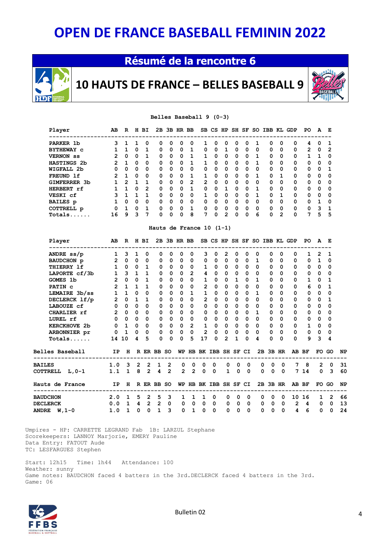### **Résumé de la rencontre 6**



**10 HAUTS DE FRANCE – BELLES BASEBALL 9**



#### **Belles Baseball 9 (0-3)**

| Player             | AB | R | н | ВI       |          |          | 2B 3B HR BB |   |   |          |   | SB CS HP SH SF SO |   |          | IBB KL GDP |   |          | PO.      | A        | E        |
|--------------------|----|---|---|----------|----------|----------|-------------|---|---|----------|---|-------------------|---|----------|------------|---|----------|----------|----------|----------|
| PARKER 1b          | 3  |   |   | 0        | 0        | 0        | 0           | 0 |   | 0        | 0 | 0                 | 0 |          | 0          | 0 | 0        | 4        | 0        |          |
| <b>BYTHEWAY C</b>  |    |   | 0 |          | 0        | $\Omega$ | $\Omega$    | 1 | 0 | $\Omega$ |   | 0                 | 0 | 0        | 0          | 0 | $\Omega$ | 2        | $\Omega$ | -2       |
| <b>VERNON</b> SS   | 2  | 0 | 0 | 1        | 0        | $\Omega$ | $\Omega$    | 1 |   | $\Omega$ | 0 | $\Omega$          | 0 | 1.       | 0          | 0 | $\Omega$ |          |          | 0        |
| <b>HASTINGS 2b</b> | 2  | 1 | 0 | $\Omega$ | 0        | 0        | $\Omega$    | 1 |   | 0        | 0 | 0                 | 0 | 1        | 0          | 0 | 0        | 0        | 0        | 0        |
| WIGFALL 2b         | 0  | 0 | 0 | 0        | 0        | 0        | 0           | 0 | 0 | 0        | 0 | 0                 | 0 | 0        | 0          | 0 | 0        | 0        | 0        |          |
| FREUND 1f          | 2  |   | 0 | $\Omega$ | 0        | 0        | $\Omega$    | 1 |   | 0        | 0 | $\Omega$          | 0 |          | 0          | 1 | $\Omega$ | 0        | 0        | 0        |
| GIMFERRER 3b       |    | 2 |   |          | $\Omega$ | $\Omega$ | $\Omega$    | 2 | 2 | 0        | 0 | 0                 | 0 | 0        | 0          | 0 | $\Omega$ | 0        | $\Omega$ | 0        |
| HERBERT rf         |    |   | 0 | 2        | $\Omega$ | $\Omega$ | $\Omega$    | 1 | 0 | $\Omega$ |   | O                 | 0 |          | 0          | O | $\Omega$ | $\Omega$ | 0        | $\Omega$ |
| VESKI cf           | 3  |   |   | 1        | 0        | $\Omega$ | $\Omega$    | 0 |   | 0        | 0 | $\Omega$          | 0 |          | 0          |   | $\Omega$ | 0        | 0        | $\Omega$ |
| <b>BAILES</b> p    |    | 0 | 0 | $\Omega$ | 0        | $\Omega$ | $\Omega$    | 0 | 0 | 0        | 0 | 0                 | 0 | $\Omega$ | 0          | 0 | $\Omega$ | $\Omega$ |          | $\Omega$ |
| COTTRELL p         | O  |   | 0 | 1        | O        | 0        | n           | 1 | O | 0        | 0 | O                 | n | 0        | 0          | 0 | $\Omega$ | 0        | ٩        | -1       |
| Totals.            | 16 | 9 | ٩ |          | 0        | 0        | $\Omega$    | 8 | 7 | 0        | 2 | O                 | 0 | 6        | 0          | 2 | $\Omega$ | 7        | 5        | -5       |

#### **Hauts de France 10 (1-1)**

|               | Player              | AB             | $\mathbb{R}$                                                                                |              | H BI              |              |              | 2B 3B HR BB  |                |                          |              |                |              |             |              |                |             | SB CS HP SH SF SO IBB KL GDP | PO.            | A            | E        |           |
|---------------|---------------------|----------------|---------------------------------------------------------------------------------------------|--------------|-------------------|--------------|--------------|--------------|----------------|--------------------------|--------------|----------------|--------------|-------------|--------------|----------------|-------------|------------------------------|----------------|--------------|----------|-----------|
|               | ANDRE ss/p          | $\mathbf{1}$   | 3                                                                                           | $\mathbf{1}$ | 0                 | 0            | 0            | 0            | 0              | 3                        | 0            | 2              | 0            | 0           | 0            | 0              | 0           | 0                            | 1              | 2            | 1        |           |
|               | BAUDCHON p          | $2^{\circ}$    | $\mathbf 0$                                                                                 | $\mathbf 0$  | 0                 | 0            | $\mathbf 0$  | $\mathbf 0$  | $\mathbf{0}$   | $\mathbf 0$              | $\mathbf 0$  | $\mathbf 0$    | 0            | $\mathbf 0$ | 1            | 0              | $\Omega$    | 0                            | 0              | $\mathbf{1}$ | 0        |           |
|               | THIERRY 1f          | $\mathbf{1}$   | 0                                                                                           | $\Omega$     | $\mathbf{1}$      | 0            | $\mathbf{0}$ | $\mathbf{0}$ | 0              | $\mathbf{1}$             | $\mathbf 0$  | $\mathbf 0$    | 0            | $\Omega$    | $\Omega$     | $\Omega$       | $\Omega$    | 0                            | 0              | 0            | 0        |           |
|               | LAPORTE cf/3b       | $\mathbf{1}$   |                                                                                             |              | $3$ 1 1           | 0            | $\Omega$     | $\mathbf 0$  | $\overline{2}$ | $\overline{4}$           | $\mathbf 0$  | 0              | $\Omega$     | $\Omega$    | $\Omega$     | 0              | $\Omega$    | 0                            | 0              | 0            | 0        |           |
|               | GOMES 1b            | $\overline{2}$ | $\Omega$                                                                                    |              | 0 <sub>1</sub>    | 0            | $\Omega$     | $\Omega$     | $\Omega$       | $\mathbf{1}$             | $\Omega$     | $\Omega$       | 1            | $\Omega$    | 1            | $\Omega$       | 0           | $\Omega$                     | 1              | 0            | 1        |           |
|               | PATIN C             | $\overline{2}$ | $\mathbf{1}$                                                                                | $\mathbf{1}$ | $\mathbf{1}$      | 0            | $\mathbf 0$  | $\mathbf 0$  | $\mathbf 0$    | $\overline{2}$           | $\mathbf 0$  | 0              | 0            | $\mathbf 0$ | 0            | 0              | 0           | 0                            | 6              | 0            | 1        |           |
|               | LEMAIRE 3b/ss       | $\mathbf{1}$   | 1                                                                                           | $\Omega$     | $\mathbf 0$       | 0            | $\mathbf 0$  | 0            | $\mathbf{1}$   | 1                        | $\mathbf 0$  | 0              | 0            | $\mathbf 0$ | $\mathbf{1}$ | 0              | $\Omega$    | 0                            | 0              | 0            | 0        |           |
|               | DECLERCK 1f/p       | $\overline{2}$ | $\mathbf 0$                                                                                 | $\mathbf{1}$ | $\mathbf{1}$      | 0            | $\Omega$     | $\Omega$     | $\Omega$       | $2^{\circ}$              | $\Omega$     | 0              | $\Omega$     | $\Omega$    | 0            | 0              | 0           | 0                            | 0              | 0            | 1        |           |
|               | LABOUZE cf          | $\mathbf 0$    | $\mathbf 0$                                                                                 | $\Omega$     | $\mathbf 0$       | $\Omega$     | $\mathbf 0$  | $\Omega$     | $\Omega$       | $\mathbf{0}$             | $\mathbf 0$  | 0              | $\mathbf 0$  | $\mathbf 0$ | $\Omega$     | $\Omega$       | $\Omega$    | 0                            | 0              | 0            | $\Omega$ |           |
|               | CHARLIER rf         | $\overline{2}$ | $\mathbf 0$                                                                                 | 0            | $\mathbf 0$       | 0            | $\mathbf 0$  | $\mathbf 0$  | $\mathbf{0}$   | $\mathbf{0}$             | $\mathbf 0$  | $\mathbf 0$    | 0            | $\mathbf 0$ | $\mathbf{1}$ | 0              | $\Omega$    | 0                            | 0              | 0            | 0        |           |
|               | LUREL rf            | $\mathbf 0$    | $\mathbf 0$                                                                                 | $\mathbf{0}$ | $\Omega$          | $\Omega$     | $\mathbf{0}$ | $\mathbf 0$  | $\mathbf 0$    | $\mathbf 0$              | $\mathbf 0$  | $\mathbf 0$    | $\mathbf{0}$ | $\Omega$    | $\Omega$     | $\Omega$       | 0           | 0                            | 0              | 0            | 0        |           |
|               | <b>KERCKHOVE 2b</b> | $\mathbf 0$    | $\mathbf{1}$                                                                                |              | $0\quad 0$        | 0            | $\mathbf{0}$ | $\mathbf{0}$ | $2^{\circ}$    | $\mathbf{1}$             | $\mathbf{0}$ | $\mathbf{0}$   | $\mathbf{0}$ | $\mathbf 0$ | $\Omega$     | 0              | $\Omega$    | 0                            | $\mathbf{1}$   | 0            | $\Omega$ |           |
|               | ARBONNIER pr        | $\mathbf 0$    | $\mathbf{1}$                                                                                |              | $0\quad 0$        | $\mathbf 0$  | $\mathbf 0$  | $\mathbf 0$  | $\mathbf 0$    |                          | $2 \quad 0$  | $\overline{0}$ | $\mathbf 0$  | $\mathbf 0$ | $\Omega$     | $\mathbf 0$    | $\Omega$    | $\mathbf 0$                  | 0              | $\mathbf 0$  | 0        |           |
|               | $Totals$            | 14             | 10                                                                                          | 4            | 5                 | 0            | $\Omega$     | 0            | 5              | 17                       | $\Omega$     | $\overline{2}$ | 1            | $\Omega$    | 4            | $\Omega$       | 0           | $\Omega$                     | 9              | 3            | 4        |           |
|               | Belles Baseball     | <b>IP</b>      | H                                                                                           |              | R ER BB SO        |              |              |              |                | WP HB BK IBB SH SF CI    |              |                |              |             |              | $2B$ $3B$ $HR$ |             |                              | AB BF          | FO GO        |          | <b>NP</b> |
| <b>BAILES</b> |                     |                |                                                                                             |              |                   |              |              | 0            | $\mathbf{0}$   | $\mathbf{0}$             | $\mathbf 0$  | 0              | 0            | $\mathbf 0$ | 0            | $\mathbf 0$    | $\mathbf 0$ | $\overline{7}$               | - 8            | $2^{\circ}$  | $\Omega$ | 31        |
|               | COTTRELL L, 0-1     |                | $\begin{array}{ccccccccc}\n1.0 & 3 & 2 & 2 & 1 & 2 \\ 1.1 & 1 & 8 & 2 & 4 & 2\n\end{array}$ |              |                   |              |              | $2^{\circ}$  | $\overline{2}$ | $\Omega$                 | $\mathbf 0$  | $\mathbf{1}$   | $\mathbf 0$  | $\mathbf 0$ | $\mathbf 0$  | $\mathbf 0$    | $\mathbf 0$ |                              | 7 14           | $\mathbf{0}$ | 3        | 60        |
|               | Hauts de France     | IP             |                                                                                             |              | H R ER BB SO      |              |              | WP           |                | HB BK IBB SH SF CI       |              |                |              |             |              | 2B 3B HR       |             |                              | AB BF          | FO GO        |          | <b>NP</b> |
|               | <b>BAUDCHON</b>     | 2.0            |                                                                                             |              | $1\quad 5\quad 2$ | 5            | 3            | 1            | $\mathbf{1}$   | $\mathbf{1}$             | 0            | 0              | $\Omega$     | $\Omega$    | 0            | $\overline{0}$ | $\Omega$    |                              | 10 16          | $\mathbf{1}$ | 2        | 66        |
|               | <b>DECLERCK</b>     | 0.0            |                                                                                             |              | 1 4 2 2 0         |              |              |              |                | $0\quad 0\quad 0\quad 0$ |              | 0              | $\mathbf 0$  | 0           | 0            | 0              | $\mathbf 0$ | $\overline{2}$               | $\overline{4}$ | 0            | 0        | 13        |
|               | ANDRE $W, 1-0$      | 1.0            | $\mathbf{1}$                                                                                | $\mathbf 0$  | $\mathbf 0$       | $\mathbf{1}$ | 3            | $\mathbf 0$  | $\mathbf{1}$   | $\mathbf 0$              | $\mathbf 0$  | 0              | $\mathbf 0$  | $\mathbf 0$ | $\mathbf 0$  | $\mathbf 0$    | $\mathbf 0$ | $\overline{4}$               | 6              | $\mathbf 0$  | $\Omega$ | 24        |
|               |                     |                |                                                                                             |              |                   |              |              |              |                |                          |              |                |              |             |              |                |             |                              |                |              |          |           |

 Umpires - HP: CARRETTE LEGRAND Fab 1B: LARZUL Stephane Scorekeepers: LANNOY Marjorie, EMERY Pauline Data Entry: FATOUT Aude TC: LESFARGUES Stephen

 Start: 12h15 Time: 1h44 Attendance: 100 Weather: sunny Game notes: BAUDCHON faced 4 batters in the 3rd.DECLERCK faced 4 batters in the 3rd. Game: 06

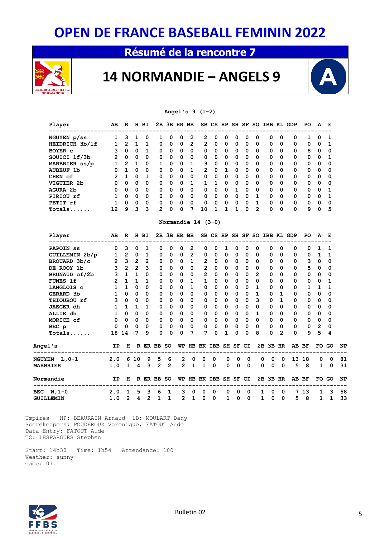### **Résumé de la rencontre 7**



### **14 NORMANDIE – ANGELS 9**



**Angel's 9 (1-2)**

| Player<br>---------------------- | AB              |                   |                     | R H BI       |                |                         | 2B 3B HR BB                              |                |                                                                          |                                |                               |                     |                         |                |                     |                | SB CS HP SH SF SO IBB KL GDP             | PO           | A                       | Е                       |    |
|----------------------------------|-----------------|-------------------|---------------------|--------------|----------------|-------------------------|------------------------------------------|----------------|--------------------------------------------------------------------------|--------------------------------|-------------------------------|---------------------|-------------------------|----------------|---------------------|----------------|------------------------------------------|--------------|-------------------------|-------------------------|----|
| NGUYEN p/ss                      | $\mathbf{1}$    | 3                 | 1                   | 0            | 1              | 0                       | 0                                        | 2              | $\mathbf{2}$                                                             | 0                              | 0                             | 0                   | 0                       | 0              | 0                   | 0              | 0                                        | 1            | 0                       | 1                       |    |
| HEIDRICH 3b/1f                   |                 | $1\quad 2\quad 1$ |                     | $\mathbf{1}$ | 0              | 0                       | 0                                        | $\overline{2}$ | $\overline{2}$                                                           | 0                              | $\Omega$                      | 0                   | $\mathbf 0$             | 0              | 0                   | $\Omega$       | 0                                        | 0            | 0                       | $\mathbf{1}$            |    |
| BOYER <sub>c</sub>               |                 | 3 0 0             |                     | $\mathbf{1}$ | $\Omega$       |                         | $0\quad 0$                               | $\mathbf 0$    | $\mathbf{0}$                                                             | $\mathbf{O}$                   | 0                             |                     | $0\quad 0$              | $\Omega$       | 0                   | 0              | 0                                        | 8            | $\Omega$                | $\mathbf 0$             |    |
| SOUICI 1f/3b                     |                 | 2 0 0             |                     | $\mathbf 0$  | 0              |                         | $0\quad 0$                               |                | $0\qquad 0$                                                              |                                | $0\quad 0$                    |                     | $0\quad 0$              | 0              | 0                   | 0              | 0                                        |              | $0\quad 0$              | 1                       |    |
| MARBRIER ss/p                    | $\mathbf{1}$    |                   | $2 \quad 1$         | 0            | $\mathbf{1}$   | $\overline{\mathbf{0}}$ | $\overline{\phantom{0}}$                 | $\mathbf{1}$   |                                                                          | 3 <sup>7</sup><br>$\mathbf{0}$ | 0                             |                     | $0\quad 0$              | 0              | 0                   | 0              | 0                                        | 0            | $\mathbf 0$             | $\mathbf 0$             |    |
| <b>AUBEUF 1b</b>                 |                 | $0$ 1 0           |                     | $\mathbf 0$  | 0              |                         | $0\quad 0$                               | $1 \quad$      |                                                                          | $2\quad 0$                     |                               | $1 \quad 0 \quad 0$ |                         | 0              | $\mathbf 0$         | 0              | 0                                        | 0            | $\overline{\mathbf{0}}$ | $\overline{\mathbf{0}}$ |    |
| CHEN cf                          | $\overline{2}$  | $\mathbf{1}$      | 0                   | $\mathbf{1}$ | 0              | $\overline{\mathbf{0}}$ | $\overline{\mathbf{0}}$                  | $\overline{0}$ |                                                                          | $\mathbf{0}$                   | $0\quad 0$                    |                     | $0\quad 0$              | $\Omega$       | 0                   | $\Omega$       | 0                                        | 0            | $\mathbf 0$             | $\mathbf 0$             |    |
| VIGUIER 2b                       | $\Omega$        | $\Omega$          | $\mathbf{0}$        | $\mathbf 0$  | 0              | $\overline{\mathbf{0}}$ | $\overline{\mathbf{0}}$                  |                | $1 \quad 1 \quad 1 \quad 0$                                              |                                |                               |                     | $0\quad 0$              | $\Omega$       | 0                   | $\Omega$       | 0                                        | 0            | $\mathbf 0$             | 0                       |    |
| AGURA 2b                         | $\mathbf{0}$    |                   | $0\quad 0$          | 0            | 0              |                         | $0\quad 0$                               |                | 0 0 0 0 1 0                                                              |                                |                               |                     |                         | 0              | 0                   | 0              | 0                                        |              | $0\quad 0$              | $\mathbf{1}$            |    |
| PIRIOU rf                        | $1 \quad$       |                   | $0\quad 0$          | $\Omega$     | $\Omega$       |                         | $0\quad 0$                               | $\overline{0}$ |                                                                          | $\mathbf{0}$                   | 0 0 0 0 1                     |                     |                         |                | $\mathbf{0}$        | $\Omega$       | 0                                        |              | $0\quad 0$              | $\mathbf{1}$            |    |
| PETIT rf                         | $\mathbf{1}$    | $\mathbf{0}$      | $\mathbf{0}$        | $\mathbf 0$  | 0              | $\overline{\mathbf{0}}$ | $\overline{\mathbf{0}}$                  | $\overline{0}$ | $\mathbf 0$                                                              |                                | $0\quad 0\quad 0\quad 0\quad$ |                     |                         | $\mathbf{1}$   | $\mathbf 0$         | $\mathbf 0$    | $\mathbf{0}$                             |              | $0\quad 0$              | $\mathbf 0$             |    |
| Totals                           | 12              | $9^{\circ}$       | 3 <sup>7</sup>      | 3            | $\overline{2}$ | $\mathbf 0$             | $\Omega$                                 | 7              | 10                                                                       | $\mathbf{1}$                   | $\mathbf{1}$                  | 1                   | $\mathbf 0$             | $\overline{2}$ | 0                   | $\Omega$       | 0                                        |              | 90                      | 5                       |    |
|                                  |                 |                   |                     |              |                |                         |                                          |                | Normandie 14 (3-0)                                                       |                                |                               |                     |                         |                |                     |                |                                          |              |                         |                         |    |
| Player                           | AB              |                   | R H BI              |              |                |                         |                                          |                |                                                                          |                                |                               |                     |                         |                |                     |                | 2B 3B HR BB SB CS HP SH SF SO IBB KL GDP | PO.          | A                       | $\mathbf{E}$            |    |
| <b>PAPOIN</b> SS                 | 0               | 3                 | $\mathbf{0}$        | 1            | 0              | 0                       | 0                                        | $\overline{2}$ | 0                                                                        | 0                              | 1                             | 0                   | 0                       | 0              | 0                   | 0              | 0                                        | 0            | 1                       | 1                       |    |
| GUILLEMIN 2b/p                   | $\mathbf{1}$    | $2^{\circ}$       | $\mathbf{0}$        | 1            | 0              | 0                       | 0                                        | $\overline{2}$ | 0                                                                        | 0                              | 0                             | 0                   | 0                       | 0              | 0                   | 0              | 0                                        | 0            | 1                       | 1                       |    |
| BROUARD 3b/c                     | $\mathbf{2}$    |                   | $3 \quad 2 \quad 2$ |              | 0              |                         | $0\quad 0\quad 1$                        |                |                                                                          | 2 0 0                          |                               |                     | $0\quad 0$              | 0              | 0                   | $\Omega$       | 0                                        |              | $3 \quad 0$             | $\mathbf{0}$            |    |
| DE ROOY 1b                       | $\overline{3}$  |                   | $2\quad 2$          | 3            | $\Omega$       |                         | $0\quad 0$                               | $\Omega$       |                                                                          | $2^{\circ}$<br>$\mathbf{0}$    |                               | $0\quad 0\quad 0$   |                         | $\Omega$       | $\mathbf 0$         | $\Omega$       | 0                                        |              | 50                      | $\mathbf 0$             |    |
| BRUNAUD cf/2b                    | $\overline{3}$  |                   | $1\quad1$           | $\mathbf 0$  | $\Omega$       | $\overline{\mathbf{0}}$ | $\overline{\mathbf{0}}$                  | $\overline{0}$ |                                                                          | $2^{\circ}$<br>$\mathbf{0}$    | $\mathbf{0}$                  |                     | $0\quad 0$              | $\overline{2}$ | 0                   | 0              | 0                                        | 0            | $\overline{0}$          | 0                       |    |
| <b>FUNES 1f</b>                  |                 | $2 \quad 1$       | 1 1                 |              | 0              |                         | $0\quad 0$                               | $\mathbf{1}$   | $\mathbf{1}$                                                             | $\mathbf{0}$                   | 0                             |                     | $0\quad 0$              | 0              | 0                   | 0              | 0                                        |              | $0\quad 0$              | $\mathbf{1}$            |    |
| <b>LANGLOIS C</b>                |                 | $1\quad1$         | $\mathbf{0}$        | $\Omega$     | 0              |                         | $0\quad 0$                               | $\mathbf{1}$   |                                                                          | $\mathbf{0}$<br>$\mathbf{0}$   | $\Omega$                      |                     | $0\quad 0$              | $\mathbf{1}$   | 0                   | $\Omega$       | 0                                        | $\mathbf{1}$ | $\mathbf{1}$            | $\mathbf{1}$            |    |
| GERARD 3b                        |                 | $1 \quad 0$       | $\mathbf{0}$        | $\mathbf 0$  | 0              |                         | $0\quad 0$                               | $\mathbf{0}$   |                                                                          | $0\quad 0$                     | 0                             |                     | $0\quad 0$              | $\mathbf{1}$   | 0                   | 1              | 0                                        | 0            | $\overline{\mathbf{0}}$ | $\mathbf 0$             |    |
| THIOUBOU rf                      | 3 <sup>7</sup>  | 0                 | $\mathbf{0}$        | $\mathbf 0$  | 0              | $\overline{\mathbf{0}}$ | $\overline{0}$                           | $\mathbf 0$    |                                                                          | $\mathbf{0}$<br>$\mathbf{0}$   | $\mathbf 0$                   | 0                   | $\overline{\mathbf{0}}$ | 3              | $\mathbf 0$         | $\mathbf{1}$   | 0                                        | 0            | 0                       | 0                       |    |
| JAEGER dh                        |                 | $1\quad1$         | 1 1                 |              | 0              |                         | $0\quad 0$                               |                | $\begin{array}{ccccccccccccccccc} 0 & 0 & 0 & 0 & 0 & 0 & 0 \end{array}$ |                                |                               |                     |                         | $\mathbf 0$    | $\mathbf 0$         | $\mathbf 0$    | 0                                        |              | $0\quad 0$              | $\mathbf 0$             |    |
| ALLIE dh                         |                 | 1 0 0             |                     | $\mathbf 0$  | $\Omega$       |                         | $\begin{matrix}0&0\end{matrix}$          | $\overline{0}$ |                                                                          | $0\quad 0$                     |                               | $0\quad 0\quad 0$   |                         | $\mathbf{1}$   | $\mathbf 0$         | $\Omega$       | $\mathbf{0}$                             | 0            | $\overline{\mathbf{0}}$ | $\mathbf 0$             |    |
| MORICE cf                        |                 | $0\quad 0$        | $\mathbf{0}$        | $\mathbf 0$  | 0              |                         | $\begin{array}{ccc} & 0 & 0 \end{array}$ |                |                                                                          |                                |                               |                     |                         | 0              | 0                   | 0              | $\overline{0}$                           |              | $0\quad 0$              | 0                       |    |
| BEC p                            | 0               | $\mathbf 0$       | 0                   | 0            | 0              | 0                       | 0                                        | $\mathbf{0}$   | 0                                                                        | 0                              | 0                             | 0                   | $\mathbf 0$             | 0              | $\mathbf 0$         | $\mathbf 0$    | 0                                        | 0            | $\overline{2}$          | 0                       |    |
| $Totals$                         | 18 14           |                   | $7^{\circ}$         | 9            | $\Omega$       | $\mathbf 0$             | $\mathbf 0$                              | 7              | 7                                                                        | $\Omega$                       | $\mathbf{1}$                  | 0                   | $\Omega$                | 8              | 0                   | $\overline{2}$ | 0                                        | 9            | 5                       | 4                       |    |
| <b>Angel's</b>                   | IP              |                   |                     |              | H R ER BB SO   |                         |                                          |                |                                                                          |                                |                               |                     |                         |                |                     |                | WP HB BK IBB SH SF CI 2B 3B HR AB BF     |              |                         | FO GO                   | NP |
| <b>NGUYEN L,0-1</b>              | $2.0 \t610$     |                   |                     | 9            | 5              | 6                       | 2                                        | 0              | 0                                                                        | 0                              | 0                             | 0                   | 0                       |                | 0<br>0              | 0              |                                          | 13 18        | 0                       | 0                       | 81 |
| <b>MARBRIER</b>                  | 1.0             |                   | $1 \quad 4$         | $\mathbf{3}$ |                | $2^{\circ}$ 2           | $2^{\circ}$                              | $\mathbf{1}$   | $\mathbf{1}$                                                             | $\mathbf 0$                    | 0                             | 0                   | $\mathbf 0$             |                | $\mathbf 0$<br>0    | $\mathbf{0}$   | 5                                        | - 8          | 1                       | $\mathbf 0$             | 31 |
| Normandie                        |                 |                   |                     |              |                |                         |                                          |                | IP H R ER BB SO WP HB BK IBB SH SF CI                                    |                                |                               |                     |                         |                |                     |                | 2B 3B HR AB BF                           |              |                         | FO GO                   | NP |
| BEC <b>W</b> , 1-0               | 2.0             | 1                 | 5                   | 3            | 6              | 1                       | 3                                        | 0              | 0                                                                        | 0                              | 0                             | 0                   | 0                       |                | 1<br>0              | 0              |                                          | 7 13         | $\mathbf{1}$            | 3                       | 58 |
| GUILLEMIN                        | $1.0$ 2 4 2 1 1 |                   |                     |              |                |                         |                                          | $2 \quad 1$    | $\mathbf 0$                                                              | $\mathbf 0$                    |                               | $1 \quad 0$         | $\overline{0}$          |                | $1 \quad 0 \quad 0$ |                | 5                                        | 8            | $\mathbf{1}$            | $\mathbf{1}$            | 33 |

 Umpires - HP: BEAURAIN Arnaud 1B: MOULART Dany Scorekeepers: POUDEROUX Veronique, FATOUT Aude Data Entry: FATOUT Aude TC: LESFARGUES Stephen

 Start: 14h30 Time: 1h54 Attendance: 100 Weather: sunny Game: 07

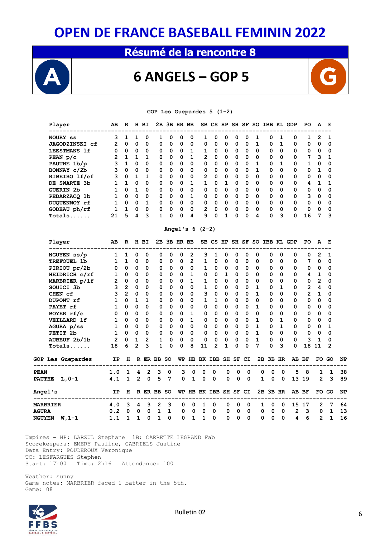### **Résumé de la rencontre 8**



### **6 ANGELS – GOP 5**



#### **GOP Les Guepardes 5 (1-2)**

| Player<br>--------------------           | AB             |                 | R H BI         |                |              |                         | 2B 3B HR BB             |                |                       |                             |              |             |                         |              |                             |             | SB CS HP SH SF SO IBB KL GDP | PO           | A              | Е            |    |
|------------------------------------------|----------------|-----------------|----------------|----------------|--------------|-------------------------|-------------------------|----------------|-----------------------|-----------------------------|--------------|-------------|-------------------------|--------------|-----------------------------|-------------|------------------------------|--------------|----------------|--------------|----|
| NOURY ss                                 | 3              | $\mathbf{1}$    | 1              | 0              | 1            | 0                       | 0                       | 0              | 1                     | 0                           | 0            | 0           | 0                       | 1            | 0                           | 1           | 0                            | 1            | 2              | 1            |    |
| <b>JAGODZINSKI</b> cf                    | $\overline{2}$ | 0               | 0              | 0              | 0            | 0                       | 0                       | 0              | 0                     | 0                           | 0            | 0           | 0                       | 1            | 0                           | $\mathbf 1$ | 0                            | $\mathbf 0$  | 0              | 0            |    |
| LEESTMANS 1f                             |                | $0\quad 0$      | $\mathbf{0}$   | 0              | 0            | $\mathbf 0$             | 0                       | 1              | 1                     | 0                           | 0            | 0           | $\overline{\mathbf{0}}$ | 0            | 0                           | 0           | 0                            | 0            | 0              | 0            |    |
| PEAN $p/c$                               |                | $2 \t1 \t1$     |                | $\mathbf{1}$   | 0            | $\mathbf{0}$            | $\overline{\mathbf{0}}$ | $\mathbf{1}$   |                       | $2 \quad 0$                 | 0            | 0           | $\overline{0}$          | $\Omega$     | 0                           | 0           | 0                            | 7            | 3              | 1            |    |
| PAUTHE 1b/p                              | 3              | $\mathbf{1}$    | 0              | $\Omega$       | 0            | 0                       | 0                       | 0              | 0                     | 0                           | $\Omega$     | 0           | $\overline{\mathbf{0}}$ | 1            | 0                           | 1           | 0                            | $\mathbf{1}$ | 0              | 0            |    |
| BONNAY c/2b                              | 3              | $\mathbf{0}$    | $\mathbf{0}$   | 0              | 0            | $\mathbf 0$             | $\mathbf 0$             | 0              | 0                     | 0                           | 0            | 0           | $\overline{\mathbf{0}}$ | 1            | 0                           | 0           | 0                            | 0            | 1              | 0            |    |
| RIBEIRO 1f/cf                            | 3              | 0               | $\mathbf{1}$   | $\mathbf{1}$   | 0            | $\mathbf 0$             | $\mathbf 0$             | 0              | $\mathbf{2}$          | $\mathbf 0$                 | 0            | 0           | $\overline{\mathbf{0}}$ | $\mathbf 0$  | 0                           | 0           | 0                            | 0            | 0              | 0            |    |
| DE SWARTE 3b                             | $\mathbf{1}$   | $\mathbf{1}$    | 0              | $\mathbf 0$    | 0            | $\mathbf 0$             | $\mathbf 0$             | $\mathbf{1}$   | $\mathbf{1}$          | 0                           | 1            | 0           | $\overline{\mathbf{0}}$ | 0            | 0                           | $\mathbf 0$ | 0                            | 4            | 1              | 1            |    |
| <b>GUERIN 2b</b>                         | $\mathbf{1}$   | $\Omega$        | $\mathbf{1}$   | 0              | 0            | $\overline{\mathbf{0}}$ | $\mathbf 0$             | 0              |                       | $\mathbf{O}$<br>$\mathbf 0$ | $\mathbf 0$  | 0           | $\overline{\mathbf{0}}$ | $\mathbf 0$  | 0                           | 0           | 0                            | 0            | $\mathbf 0$    | 0            |    |
| PEDARZACQ 1b                             |                | 1 0 0           |                | 0              | 0            | $\bullet$ 0             | $\mathbf 0$             | $\mathbf{1}$   | $\mathbf{0}$          | $\mathbf 0$                 | 0            | 0           | $\overline{\mathbf{0}}$ | 0            | 0                           | 0           | 0                            | 3            | 0              | 0            |    |
| DUQUENNOY rf                             |                | $1 \t0 \t0 \t1$ |                |                | 0            | $\overline{0}$          | $\mathbf 0$             |                | $0\qquad 0$           | 0                           | $\mathbf 0$  |             | $0\quad 0$              | 0            | 0                           | 0           | 0                            | 0            | 0              | 0            |    |
| GODEAU ph/rf                             |                | $1\quad1$       | $\mathbf{O}$   | 0              | 0            | $\mathbf 0$             | 0                       | 0              | $\mathbf{2}$          | $\mathbf 0$                 | 0            | 0           | $\overline{\mathbf{0}}$ | 0            | 0                           | 0           | 0                            | 0            | 0              | 0            |    |
| $Totals$                                 | 21             | 5               | 4              | 3              | $\mathbf{1}$ | 0                       | 0                       | 4              | 9                     | $\mathbf 0$                 | $\mathbf{1}$ | $\mathbf 0$ | $\mathbf 0$             | 4            | 0                           | 3           | 0                            | 16           | 7              | 3            |    |
|                                          |                |                 |                |                |              |                         |                         |                | Angel's $6(2-2)$      |                             |              |             |                         |              |                             |             |                              |              |                |              |    |
| Player                                   | AВ             |                 |                | R H BI         |              |                         | 2B 3B HR BB             |                |                       |                             |              |             |                         |              |                             |             | SB CS HP SH SF SO IBB KL GDP | PO.          | A              | Е            |    |
| NGUYEN ss/p                              | 1              | $\mathbf{1}$    | 0              | 0              | 0            | 0                       | 0                       | $\mathbf{2}$   | 3                     | 1                           | 0            | 0           | 0                       | 0            | 0                           | 0           | 0                            | 0            | 2              | 1            |    |
| TREFOUEL 1b                              | $\mathbf{1}$   | $\mathbf{1}$    | $\mathbf{0}$   | 0              | 0            | $\mathbf 0$             | 0                       | $\overline{2}$ | $\mathbf{1}$          | $\mathbf 0$                 | 0            | 0           | $\mathbf 0$             | 0            | 0                           | 0           | 0                            | 7            | 0              | 0            |    |
| PIRIOU pr/2b                             | 0              |                 | $0\quad 0$     | 0              | 0            | $\mathbf{0}$            | $\overline{\mathbf{0}}$ | 0              | 1                     | 0                           | 0            | 0           | $\overline{\mathbf{0}}$ | 0            | 0                           | 0           | 0                            | 0            | 0              | 0            |    |
| HEIDRICH c/rf                            |                | 1 0 0           |                | 0              | 0            |                         | $0\quad 0$              | $\mathbf{1}$   | $\mathbf{0}$          | $\mathbf{0}$                | 1            | 0           | $\overline{\mathbf{0}}$ | 0            | 0                           | 0           | 0                            | 4            | $\mathbf{1}$   | 0            |    |
| MARBRIER p/lf                            | $2^{\circ}$    | $\mathbf{0}$    | $\mathbf 0$    | 0              | 0            | $\mathbf{0}$            | $\mathbf 0$             | $\mathbf{1}$   | $\mathbf{1}$          | $\Omega$                    | 0            | 0           | $\overline{\mathbf{0}}$ | 0            | 0                           | 0           | 0                            | 0            | $\mathbf{2}$   | 0            |    |
| SOUICI 3b                                | 3 <sup>7</sup> | $\overline{2}$  | 0              | 0              | 0            | $\mathbf 0$             | $\mathbf 0$             | 0              | $\mathbf 1$           | 0                           | 0            | 0           | $\overline{0}$          | 1            | 0                           | 1           | 0                            | $\mathbf{2}$ | 4              | 0            |    |
| CHEN cf                                  | 3              | $2^{\circ}$     | $\mathbf 0$    | $\mathbf 0$    | 0            | $\mathbf 0$             | $\mathbf 0$             | 0              | 3                     | $\mathbf 0$                 | 0            | 0           | $\overline{\mathbf{0}}$ | 1            | 0                           | 0           | 0                            | $\mathbf{2}$ | $\mathbf 1$    | 0            |    |
| DUPONT rf                                | $\mathbf{1}$   | $\mathbf 0$     | $\mathbf{1}$   | $\mathbf{1}$   | 0            | $\mathbf 0$             | $\Omega$                | 0              |                       | $1\quad1$                   | $\mathbf 0$  | 0           | $\overline{\mathbf{0}}$ | $\mathbf 0$  | 0                           | 0           | 0                            | $\mathbf 0$  | 0              | 0            |    |
| PAYET rf                                 | $\mathbf{1}$   | 0               | $\mathbf{0}$   | $\mathbf 0$    | $\mathbf 0$  | $\mathbf 0$             | 0                       | $\mathbf 0$    | 0                     | $\mathbf 0$                 | $\mathbf 0$  | $\mathbf 0$ | $\overline{\mathbf{0}}$ | $\mathbf{1}$ | 0                           | $\mathbf 0$ | 0                            | 0            | $\mathbf 0$    | 0            |    |
| BOYER $rf/c$                             | $\mathbf{0}$   | $\Omega$        | $\Omega$       | $\Omega$       | 0            | $\mathbf{0}$            | $\mathbf 0$             | $\mathbf{1}$   | $\mathbf{O}$          | $\Omega$                    | $\Omega$     | $\Omega$    | $\overline{0}$          | $\Omega$     | 0                           | $\Omega$    | 0                            | 0            | 0              | 0            |    |
| VEILLARD 1f                              | $\mathbf{1}$   | 0               | $\mathbf{0}$   | 0              | 0            | $\overline{\mathbf{0}}$ | $\overline{\mathbf{0}}$ | $\mathbf{1}$   | 0                     | 0                           | 0            | 0           | $\overline{\mathbf{0}}$ | 1            | 0                           | 1           | 0                            | 0            | 0              | 0            |    |
| AGURA p/ss                               |                | $1 \quad 0$     | $\overline{0}$ | $\mathbf 0$    | 0            |                         | $0\quad 0$              | $\mathbf{0}$   | $\mathbf{0}$          | 0                           | $\mathbf 0$  |             | $0\quad 0$              | 1            | 0                           | 1           | 0                            | 0            | $\mathbf 0$    | 1            |    |
| PETIT <sub>2b</sub>                      | $\mathbf{1}$   |                 | $0\quad 0$     | 0              | 0            | $\overline{\mathbf{0}}$ | $\mathbf 0$             | $\mathbf 0$    | 0                     | $\mathbf 0$                 | $\mathbf 0$  | 0           | $\overline{\mathbf{0}}$ | $\mathbf{1}$ | 0                           | 0           | 0                            | 0            | 0              | 0            |    |
| AUBEUF 2b/1b                             | $\overline{2}$ | 0               | $\mathbf{1}$   | $\overline{2}$ | 1            | $\mathbf 0$             | $\mathbf 0$             | $\mathbf 0$    | 0                     | 0                           | 0            | $\mathbf 0$ | $\mathbf 0$             | $\mathbf{1}$ | 0                           | $\mathbf 0$ | $\mathbf 0$                  | 3            | $\mathbf{1}$   | 0            |    |
| $Totals$                                 | 18             | 6               | $\overline{2}$ | 3              | $\mathbf{1}$ | 0                       | 0                       | 8              | 11                    | 2                           | 1            | 0           | 0                       | 7            | 0                           | 3           | 0                            | 18           | 11             | 2            |    |
| <b>GOP Les Guepardes</b>                 | IP             | н               |                |                | R ER BB SO   |                         |                         |                | WP HB BK IBB SH SF CI |                             |              |             |                         |              | 2B 3B HR                    |             |                              | AB BF        |                | FO GO        | NP |
| -------------------------<br><b>PEAN</b> | 1.0            | 1               | 4              | 2              | з            | 0                       | 3                       | 0              | 0                     | 0                           | 0            | 0           | 0                       |              | 0<br>0                      | 0           | 5                            | - 8          | 1              | 1            | 38 |
| PAUTHE L, 0-1                            | 4.1            | $\mathbf{1}$    | $\mathbf{2}$   | 0              | 5            | $\overline{7}$          | $\mathbf 0$             | $\mathbf{1}$   | 0                     | 0                           | 0            | $\mathbf 0$ | $\mathbf 0$             |              | $\mathbf 0$<br>$\mathbf{1}$ | 0           |                              | 13 19        | $\overline{2}$ | 3            | 89 |
| <b>Angel's</b>                           | IP             | н               |                |                | R ER BB SO   |                         |                         |                | WP HB BK IBB SH SF CI |                             |              |             |                         |              | 2B 3B HR                    |             |                              | AB BF        |                | FO GO        | NP |
| <b>MARBRIER</b>                          | 4.0            | 3               | 4              | 3              | 2            | 3                       | 0                       | 0              | 1                     | 0                           | 0            | 0           | 0                       |              | 0<br>1                      | 0           |                              | 15 17        | 2              | 7            | 64 |
| AGURA                                    | 0.2            | 0               | 0              | 0              | $\mathbf{1}$ | 1                       | 0                       | 0              | 0                     | 0                           | 0            | 0           | 0                       |              | 0<br>0                      | 0           | $\overline{2}$               | 3            | 0              | $\mathbf{1}$ | 13 |
| <b>NGUYEN W,1-1</b>                      | 1.1            | $\mathbf{1}$    | $\mathbf{1}$   | $\Omega$       | $\mathbf{1}$ | $\Omega$                | $\mathbf 0$             | $\mathbf{1}$   | $\mathbf{1}$          | 0                           | 0            | $\mathbf 0$ | $\Omega$                |              | 0<br>0                      | $\Omega$    | 4                            | 6            | $\overline{2}$ | $\mathbf{1}$ | 16 |

 Umpires - HP: LARZUL Stephane 1B: CARRETTE LEGRAND Fab Scorekeepers: EMERY Pauline, GABRIELS Justine Data Entry: POUDEROUX Veronique TC: LESFARGUES Stephen<br>Start: 17h00 Time: 21 Time: 2h16 Attendance: 100

 Weather: sunny Game notes: MARBRIER faced 1 batter in the 5th. Game: 08

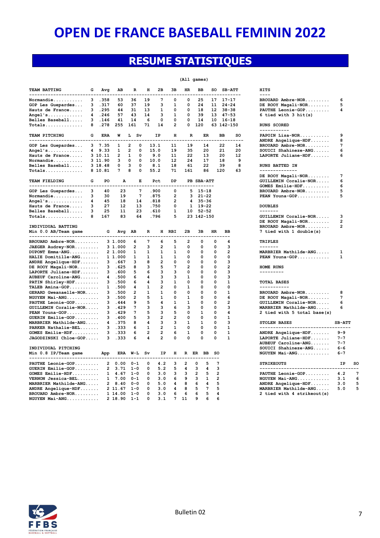### **RESUME STATISTIQUES**

|  | (All games) |
|--|-------------|
|--|-------------|

| TEAM BATTING<br>-----------------------              | G | Avg            | AВ                | R                              | н              | 2в             | 3B                      | HR.            | вв             |                   | so             | <b>SB-ATT</b>           | -------           | <b>HITS</b><br>$- - - -$               |                |            |
|------------------------------------------------------|---|----------------|-------------------|--------------------------------|----------------|----------------|-------------------------|----------------|----------------|-------------------|----------------|-------------------------|-------------------|----------------------------------------|----------------|------------|
| Normandie                                            | 3 | .358           | 53                | 36                             | 19             | 7              | 0                       | 0              | 25             |                   | 17             | $17 - 17$               |                   | BROUARD Ambre-NOR                      | 6              |            |
| GOP Les Guepardes                                    | 3 | .317           | 60                | 37                             | 19             | з              | 1                       | 0              | 24             |                   | 11             | $24 - 24$               |                   | DE ROOY Magali-NOR                     | 5              |            |
| Hauts de France                                      | 3 | .295           | 44                | 31                             | 13             | 1              | 0                       | 0              | 18             |                   | 12             | $38 - 38$               |                   | PAUTHE Leonie-GOP                      | 4              |            |
| $Anqel's$                                            | 4 | .246           | 57                | 43                             | 14             | 3              | 1                       | 0              | 39             |                   |                | $13$ $47-53$            |                   | 6 tied with 3 hit(s)                   |                |            |
| Belles Baseball                                      | 3 | .146           | 41                | 14                             | 6              | 0              | 0                       | 0              | 14             |                   |                | $10 16 - 18$            |                   |                                        |                |            |
|                                                      | 8 | .278           | 255               | 161                            | 71             | 14             | $\mathbf{2}$            | $\Omega$       | 120            |                   |                |                         |                   |                                        |                |            |
| Totals                                               |   |                |                   |                                |                |                |                         |                |                |                   |                | 63 142-150              |                   | <b>RUNS SCORED</b><br>-----------      |                |            |
| TEAM PITCHING<br>-------------------------------     | G | <b>ERA</b>     | W                 | L Sv                           |                | IP             | н<br>$- - -$            | $\mathbb{R}$   |                | ER<br>----        |                | <b>BB</b><br>-----      | <b>SO</b><br>---- | PAPOIN Lisa-NOR<br>ANDRE Angelique-HDF | 9<br>8         |            |
|                                                      |   |                | 1                 | $\overline{2}$<br>0            |                |                | 11                      | 19             |                | 14                |                | 22                      | 14                |                                        | 7              |            |
| GOP Les Guepardes                                    |   | 3, 7.35        | $\mathbf{1}$      | $\overline{2}$<br>$\mathbf{0}$ |                | 13.1           | 19                      | 35             |                | 20                |                | 21                      | 20                | BROUARD Ambre-NOR                      | 6              |            |
| Angel's                                              |   | 4 9.33         |                   |                                |                | 15.0           |                         |                |                |                   |                |                         |                   | $SOUTCI Shahineze-ANG$                 |                |            |
| Hauts de France                                      |   | 3 10.11        | $\mathbf{2}$      | 1<br>$\Omega$                  |                | 9.0            | 11                      | 22             |                | 13                |                | 20                      | 12                | LAPORTE Juliane-HDF                    | 6              |            |
| Normandie                                            |   | 3 11.90        | з                 | 0<br>$\mathbf 0$               |                | 10.0           | 12                      | 24             |                | 17                |                | 18                      | 9                 |                                        |                |            |
| Belles Baseball                                      |   | 3 18.48        | 0                 | 3<br>$\mathbf 0$               |                | 8.1            | 18                      | 61             |                | 22                |                | 39                      | 8                 | <b>RUNS BATTED IN</b>                  |                |            |
| Totals                                               |   | 8 10.81        | 7                 | 8<br>$\mathbf 0$               |                | 55.2           | 71                      | 161            |                | 86                |                | 120                     | 63                | --------------                         |                |            |
|                                                      |   |                |                   |                                |                |                |                         |                |                |                   |                |                         |                   | DE ROOY Magali-NOR                     | 7              |            |
| TEAM FIELDING                                        | G | PO             | A                 | E                              |                | Pct            | DP                      |                |                | PB SBA-ATT        |                |                         |                   | GUILLEMIN Coralie-NOR                  | 6              |            |
| --------------------------                           |   |                |                   |                                |                | ----           | ----                    |                |                | -----------       |                |                         |                   | GOMES Emilie-HDF                       | 6              |            |
| GOP Les Guepardes                                    | 3 | 40             | 23                | 7                              |                | .900           | 0                       | 5              |                | $15 - 18$         |                |                         |                   | BROUARD Ambre-NOR                      | 5              |            |
| Normandie                                            | 3 | 30             | 19                | $7\phantom{.0}$                |                | .875           | $\overline{\mathbf{2}}$ | 3              |                | $21 - 22$         |                |                         |                   | PEAN Youna-GOP                         | 5              |            |
| Angel's                                              | 4 | 45             | 18                | 14                             |                | .818           | 2                       |                |                | $435 - 36$        |                |                         |                   |                                        |                |            |
|                                                      | 3 | 27             | $12 \overline{ }$ | 13                             |                |                | 0                       |                |                |                   |                |                         |                   |                                        |                |            |
| Hauts de France                                      |   |                |                   |                                |                | .750           |                         |                |                | $1 \quad 19 - 22$ |                |                         |                   | <b>DOUBLES</b>                         |                |            |
| Belles Baseball                                      | 3 | 25             | 11                | 23                             |                | .610           | $\mathbf{1}$            |                |                | $10 52 - 52$      |                |                         |                   | -------                                |                |            |
| $Totals$                                             | 8 | 167            | 83                | 64                             |                | .796           | 5                       |                |                | 23 142-150        |                |                         |                   | GUILLEMIN Coralie-NOR                  | 3              |            |
|                                                      |   |                |                   |                                |                |                |                         |                |                |                   |                |                         |                   | DE ROOY Magali-NOR                     | $\overline{2}$ |            |
| INDIVIDUAL BATTING                                   |   |                |                   |                                |                |                |                         |                |                |                   |                |                         |                   | BROUARD Ambre-NOR                      | $\overline{a}$ |            |
| Min 0.0 AB/Team game                                 |   | G              | Avg AB            |                                | R              |                | H RBI                   | 2B             | 3B             |                   | <b>HR</b>      | <b>BB</b>               |                   | 7 tied with 1 double(s)                |                |            |
| -----------------------------                        |   |                |                   |                                |                |                |                         |                |                |                   |                |                         |                   |                                        |                |            |
| BROUARD Ambre-NOR                                    |   |                | 3 1.000           | 6                              | 7              | 6              | 5                       | 2              |                | 0                 | 0              | 4                       |                   | <b>TRIPLES</b>                         |                |            |
| JAEGER Audrey-NOR                                    |   |                | 3 1.000           | $\overline{\mathbf{2}}$        | 3              | $\overline{2}$ | $\mathbf{1}$            | 0              |                | 0                 | $\Omega$       | 3                       |                   | -------                                |                |            |
| DUPONT Emma-ANG                                      |   |                | 2 1.000           | 1                              | $\mathbf{1}$   | $\mathbf{1}$   | $\mathbf{1}$            | $\Omega$       |                | 0                 | $\Omega$       | $\overline{2}$          |                   | MARBRIER Mathilde-ANG                  | 1              |            |
| HALIE Domitille-ANG                                  |   |                | 1 1.000           | 1                              | 1              | 1              | 1                       | 0              |                | 0                 | 0              | 0                       |                   | PEAN Youna-GOP                         | $\mathbf{1}$   |            |
| ANDRE Angelique-HDF                                  |   | 3              | .667              | з                              | 8              | 2              | 0                       | 0              |                | 0                 | 0              | 3                       |                   |                                        |                |            |
| DE ROOY Magali-NOR                                   |   | 3              | .625              | 8                              | з              | 5              | 7                       | $\overline{2}$ |                | 0                 | 0              | $\overline{\mathbf{2}}$ |                   | HOME RUNS                              |                |            |
| LAPORTE Juliane-HDF                                  |   | 3              | .600              | 5                              | 6              | 3              | 3                       | O              |                | 0                 | $\Omega$       | 3                       |                   | ----------                             |                |            |
| AUBEUF Caroline-ANG                                  |   | 4              | .500              | 6                              | 4              | 3              | 3                       | 1              |                | O                 | O              | 3                       |                   |                                        |                |            |
| PATIN Shirley-HDF                                    |   | 3              | .500              | 6                              | 4              | 3              | 1                       | 0              |                | 0                 | 0              | 1                       |                   | TOTAL BASES                            |                |            |
| TALEB Amina-GOP                                      |   | $\mathbf{1}$   | .500              | 4                              | 1              | $\overline{2}$ | 0                       | 1              |                | $\Omega$          | $\Omega$       | $\Omega$                |                   | -----------                            |                |            |
| GERARD Gweanaelle-NOR                                |   | 3              | .500              | 2                              | $\mathbf{1}$   | $\mathbf{1}$   | 0                       | 0              |                | 0                 | 0              | $\mathbf{1}$            |                   | BROUARD Ambre-NOR                      | 8              |            |
|                                                      |   |                |                   |                                |                |                |                         |                |                |                   |                |                         |                   |                                        |                |            |
| NGUYEN Mai-ANG                                       |   | 3              | .500              | $\overline{2}$                 | 5              | 1              | 0                       | 1              |                | 0                 | 0              | 6                       |                   | DE ROOY Magali-NOR                     | 7              |            |
| PAUTHE Leonie-GOP                                    |   | 3              | .444              | 9                              | 5              | 4              | 1                       | 1              |                | 0                 | 0              | $\overline{2}$          |                   | GUILLEMIN Coralie-NOR                  | 6              |            |
| GUILLEMIN Coralie-NOR                                |   | 3              | .429              | 7                              | з              | 3              | 6                       | з              |                | 0                 | $\Omega$       | 3                       |                   | MARBRIER Mathilde-ANG                  | 6              |            |
| PEAN Youna-GOP                                       |   | 3              | .429              | 7                              | 5              | 3              | 5                       | 0              |                | $\mathbf{1}$      | $\Omega$       | 4                       |                   | 2 tied with 5 total base(s)            |                |            |
| $GUERIN$ $Emilie-GOP$                                |   | 3              | .400              | 5                              | 3              | $\overline{2}$ | $\overline{2}$          | $\Omega$       |                | O                 | O              | $\mathbf{1}$            |                   |                                        |                |            |
| MARBRIER Mathilde-ANG                                |   | 4              | .375              | 8                              | 4              | з              | 3                       | 1              |                | 1                 | $\Omega$       | 3                       |                   | STOLEN BASES                           | SB-ATT         |            |
| PARKER Nathalie-BEL                                  |   | 3              | .333              | 6                              | $\mathbf{1}$   | $\overline{a}$ | $\mathbf{1}$            | $\Omega$       |                | $\Omega$          | $\Omega$       | $\mathbf{1}$            |                   | ---------------------------------      |                |            |
| GOMES Emilie-HDF                                     |   | 3              | .333              | 6                              | $\overline{a}$ | $\overline{a}$ | 6                       | 1              |                | 0                 | 0              | 1                       |                   | ANDRE Angelique-HDF                    | $9 - 9$        |            |
| JAGODZINSKI Chloe-GOP                                |   | ٩              | .333              | 6                              | 4              | $\overline{2}$ | 0                       | 0              |                | 0                 | 0              | $\mathbf{1}$            |                   | $L$ APORTE Juliane-HDF                 | $7 - 7$        |            |
|                                                      |   |                |                   |                                |                |                |                         |                |                |                   |                |                         |                   | AUBEUF Caroline-ANG                    | $7 - 7$        |            |
|                                                      |   |                |                   |                                |                |                |                         |                |                |                   |                |                         |                   |                                        |                |            |
|                                                      |   |                |                   |                                |                |                |                         |                |                |                   |                |                         |                   | SOUICI Shahineze-ANG                   | $6 - 6$        |            |
| INDIVIDUAL PITCHING                                  |   |                |                   |                                |                | IP             | н                       | R ER BB        |                |                   | .SO            |                         |                   | NGUYEN Mai-ANG                         | $6 - 7$        |            |
| Min 0.8 IP/Team game<br>---------------------------- |   | App            | ERA               | W-L Sv                         |                |                |                         |                |                |                   |                |                         |                   |                                        |                |            |
| PAUTHE Leonie-GOP                                    |   | $\mathbf{2}$   | 0.00              | $0 - 1$                        | 0              | 4.2            | 3                       | $\overline{2}$ | 0              | 5                 | 7              |                         |                   | <b>STRIKEOUTS</b>                      | IP             | sc         |
| GUERIN Emilie-GOP                                    |   | $\overline{2}$ | 3.71              | $1 - 0$                        | 0              | 5.2            | 5                       | 4              | 3              | 4                 | 3              |                         |                   | ___________________________________    |                |            |
|                                                      |   |                |                   |                                |                |                |                         |                |                |                   |                |                         |                   |                                        |                | 7          |
| GOMES Emilie-HDF                                     |   | $\mathbf{1}$   | 4.67              | $1 - 0$                        | 0              | 3.0            | 3                       | 3              | $\overline{2}$ | 5                 | $\overline{2}$ |                         |                   | PAUTHE Leonie-GOP                      | 4.2            |            |
| VERNON Jessica-BEL                                   |   | $\mathbf{1}$   | 7.00              | $0 - 1$                        | 0              | 3.0            | 6                       | 9              | 3              | $\mathbf{1}$      | $\overline{2}$ |                         |                   | NGUYEN Mai-ANG                         | 3.1            | $\epsilon$ |
| MARBRIER Mathilde-ANG                                |   |                | 28.40             | $0 - 0$                        | 0              | 5.0            | 4                       | 8              | 6              | 4                 | 5              |                         |                   | ANDRE Angelique-HDF                    | 3.0            |            |
| ANDRE Angelique-HDF                                  |   |                | 2 11.67           | $1 - 0$                        | 0              | 3.0            | 4                       | 8              | 5              | 7                 | 5              |                         |                   | MARBRIER Mathilde-ANG                  | 5.0            | 5          |
| BROUARD Ambre-NOR                                    |   |                | 1 14.00           | $1 - 0$                        | $\Omega$       | 3.0            | 6                       | 6              | 6<br>9         | 5<br>6            | 4              |                         |                   | 2 tied with 4 strikeout(s)             |                |            |

| JNS SCORED<br>.<br>POIN Lisa-NOR<br>9<br>DRE Angelique-HDF<br>8<br>ROUARD Ambre-NOR<br>7<br>OUICI Shahineze-ANG<br>-6<br>PORTE Juliane-HDF<br>-6<br><b>JNS BATTED IN</b><br>.<br>$E$ ROOY Magali-NOR<br>$7\phantom{.0}$<br>JILLEMIN Coralie-NOR<br>6<br>MES Emilie-HDF<br>6<br>ROUARD Ambre-NOR<br>5<br>$\texttt{LAN}$ Youna-GOP<br>5<br><b>OUBLES</b><br>------<br>JILLEMIN Coralie-NOR<br>3<br>ROOY Magali-NOR<br>$\overline{\mathbf{2}}$<br>ROUARD Ambre-NOR<br>$\overline{2}$<br>tied with 1 double(s)<br><b>RIPLES</b><br>------<br>RBRIER Mathilde-ANG<br>1<br>$\texttt{LAN} \texttt{Young-GOP} \dots \dots \dots \dots$<br>1<br>ME RUNS<br>--------<br><b>TAL BASES</b><br>.<br>ROUARD Ambre-NOR<br>8<br>ROOY Magali-NOR<br>7<br>JILLEMIN Coralie-NOR<br>6<br>RBRIER Mathilde-ANG<br>6<br>tied with 5 total base(s)<br><b>TOLEN BASES</b><br><b>SB-ATT</b><br>-----<br><b>DRE Angelique-HDF</b><br>$9 - 9$<br>PORTE Juliane-HDF<br>$7 - 7$<br>JBEUF Caroline-ANG<br>$7 - 7$<br>OUICI Shahineze-ANG<br>$6 - 6$<br>UYEN Mai-ANG<br>6-7<br><b>TRIKEOUTS</b><br>$- - - -$<br><b>NUTHE Leonie-GOP</b><br>4.2<br>UYEN Mai-ANG<br>3.1<br>DRE Angelique-HDF<br>3.0<br>RBRIER Mathilde-ANG<br>5.0<br>tied with 4 strikeout(s) | ROUARD Ambre-NOR<br>ROOY Magali-NOR<br><b>NUTHE Leonie-GOP</b><br>tied with 3 hit(s) | -6<br>5<br>$\overline{\mathbf{4}}$ |
|-----------------------------------------------------------------------------------------------------------------------------------------------------------------------------------------------------------------------------------------------------------------------------------------------------------------------------------------------------------------------------------------------------------------------------------------------------------------------------------------------------------------------------------------------------------------------------------------------------------------------------------------------------------------------------------------------------------------------------------------------------------------------------------------------------------------------------------------------------------------------------------------------------------------------------------------------------------------------------------------------------------------------------------------------------------------------------------------------------------------------------------------------------------------------------------------------------------------------------|--------------------------------------------------------------------------------------|------------------------------------|
|                                                                                                                                                                                                                                                                                                                                                                                                                                                                                                                                                                                                                                                                                                                                                                                                                                                                                                                                                                                                                                                                                                                                                                                                                             |                                                                                      |                                    |
|                                                                                                                                                                                                                                                                                                                                                                                                                                                                                                                                                                                                                                                                                                                                                                                                                                                                                                                                                                                                                                                                                                                                                                                                                             |                                                                                      |                                    |
|                                                                                                                                                                                                                                                                                                                                                                                                                                                                                                                                                                                                                                                                                                                                                                                                                                                                                                                                                                                                                                                                                                                                                                                                                             |                                                                                      |                                    |
|                                                                                                                                                                                                                                                                                                                                                                                                                                                                                                                                                                                                                                                                                                                                                                                                                                                                                                                                                                                                                                                                                                                                                                                                                             |                                                                                      |                                    |
|                                                                                                                                                                                                                                                                                                                                                                                                                                                                                                                                                                                                                                                                                                                                                                                                                                                                                                                                                                                                                                                                                                                                                                                                                             |                                                                                      |                                    |
|                                                                                                                                                                                                                                                                                                                                                                                                                                                                                                                                                                                                                                                                                                                                                                                                                                                                                                                                                                                                                                                                                                                                                                                                                             |                                                                                      |                                    |
|                                                                                                                                                                                                                                                                                                                                                                                                                                                                                                                                                                                                                                                                                                                                                                                                                                                                                                                                                                                                                                                                                                                                                                                                                             |                                                                                      |                                    |
|                                                                                                                                                                                                                                                                                                                                                                                                                                                                                                                                                                                                                                                                                                                                                                                                                                                                                                                                                                                                                                                                                                                                                                                                                             |                                                                                      | IP :                               |
|                                                                                                                                                                                                                                                                                                                                                                                                                                                                                                                                                                                                                                                                                                                                                                                                                                                                                                                                                                                                                                                                                                                                                                                                                             |                                                                                      |                                    |

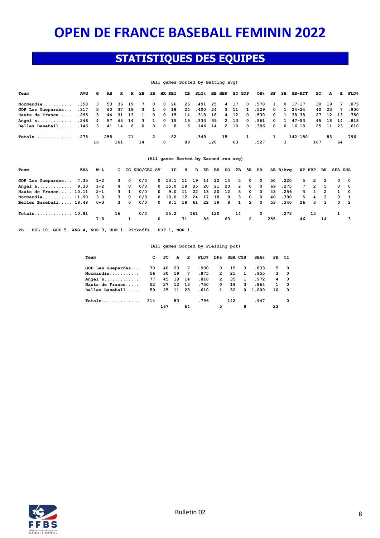### **STATISTIQUES DES EQUIPES**

#### **(All games Sorted by Batting avg)**

| Team                                                                   | AVG | G  | AB  |     | R H 2B |    | 3B HR RBI      |   |    | TB | SLG% BB HBP    |     |     |      | SO GDP | OB% SF SH |                         |              | <b>SB-ATT</b> | PO  | $\mathbf{A}$ |                | E FLD% |
|------------------------------------------------------------------------|-----|----|-----|-----|--------|----|----------------|---|----|----|----------------|-----|-----|------|--------|-----------|-------------------------|--------------|---------------|-----|--------------|----------------|--------|
| Normandie 358 3 53 36 19 7 0 0 26 26 .491 25 4 17 0 .578               |     |    |     |     |        |    |                |   |    |    |                |     |     |      |        |           |                         |              | 1 0 17-17     |     | 30 19        |                | 7.875  |
| GOP Les Guepardes .317 3 60 37 19 3 1 0 18 24 .400 24 3 11 1 .529      |     |    |     |     |        |    |                |   |    |    |                |     |     |      |        |           | $0\quad 1$              |              | $24 - 24$     |     | 40 23        | $\overline{7}$ | .900   |
| Hauts de France .295 3 44 31 13 1 0 0 15                               |     |    |     |     |        |    |                |   |    |    | 14.318 18 4 12 |     |     |      |        | 0.530     | $0\quad 1$              |              | 38-38         |     | 27 12 13     |                | .750   |
| Angel's 246 4 57 43 14 3 1 0 15 19 .333 39                             |     |    |     |     |        |    |                |   |    |    |                |     |     | 2 13 |        | 0 .561    | $\overline{\mathbf{0}}$ | $\mathbf{1}$ | 47-53         |     | 45 18 14     |                | .818   |
| Belles Baseball .146 3 41 14 6 0 0 0 8 6 .146 14 2 10 0 .386 0 0 16-18 |     |    |     |     |        |    |                |   |    |    |                |     |     |      |        |           |                         |              |               |     | 25 11 23     |                | .610   |
| $Totals$ 278                                                           |     |    | 255 |     | 71     |    | $\overline{2}$ |   | 82 |    | .349           |     | -15 |      |        |           |                         |              | 142-150       |     | 83           |                | .796   |
|                                                                        |     | 16 |     | 161 |        | 14 |                | 0 |    | 89 |                | 120 |     | 63   |        | .527      |                         | 3            |               | 167 |              | 64             |        |

#### **(All games Sorted by Earned run avg)**

| Team                       | ERA | W-L     |    |             | G CG SHO/CBO SV |   |                       |    |     |    |     |            | IP H R ER BB SO 2B 3B HR |              |            |     | AB B/Avq | WP HBP |             | BK             | <b>SFA SHA</b> |             |
|----------------------------|-----|---------|----|-------------|-----------------|---|-----------------------|----|-----|----|-----|------------|--------------------------|--------------|------------|-----|----------|--------|-------------|----------------|----------------|-------------|
| GOP Les Guepardes 7.35 1-2 |     |         |    | 3 0         | 0/0             |   | 0 13.1 11 19 14 22 14 |    |     |    |     |            |                          | 5 0 0        |            | 50  | .220     |        | 5 2         | $\overline{2}$ |                | $0\qquad 0$ |
| Angel's 9.33 1-2           |     |         |    | 4 0         | 0/0             |   | 0 15.0 19 35 20 21 20 |    |     |    |     |            |                          | 2 0 0        |            | 69  | .275     |        | 7 2         | $5^{\circ}$    |                | $0\quad 0$  |
| Hauts de France 10.11      |     | $2 - 1$ |    | $3 \quad 1$ | 0/0             |   | $0$ 9.0 11 22 13 20   |    |     |    |     | $\cdot$ 12 |                          | 3 0 0        |            | 43  | .256     |        | $3 \quad 4$ | $\overline{2}$ |                | 1 0         |
| $Normandie$ $11.90$        |     | $3 - 0$ |    | 3 0         | 0/0             |   | 0 10.0 12 24 17 18 9  |    |     |    |     |            |                          | 3 0 0        |            | 40  | .300     |        | $5 \quad 4$ | - 2            |                | $0\quad 1$  |
| Belles Baseball 18.48      |     | $0 - 3$ |    | 3 0         | 0/0             |   | 0 8.1 18 61 22 39 8   |    |     |    |     |            |                          | 1 2 0        |            |     | 53.340   |        | 26 3 3      |                |                | $0\quad 2$  |
| Totals 10.81               |     |         | 16 |             | 0/0             |   | 55.2                  |    | 161 |    | 120 |            | 14                       |              | $^{\circ}$ |     | .278     |        | 15          |                |                |             |
|                            |     | $7 - 8$ |    |             |                 | 0 |                       | 71 |     | 86 |     | 63         |                          | $\mathbf{2}$ |            | 255 |          | 46     |             | 14             |                | 3           |

**PB - BEL 10, GOP 5, ANG 4, NOR 3, HDF 1. Pickoffs - HDF 1, NOR 1.** 

#### **(All games Sorted by Fielding pct)**

| Team              | C   | PO. | A     | E               | $\texttt{FLD\$}$ | DPs SBA CSB    |     |                         | $SBA\$         | PB CI |                         |
|-------------------|-----|-----|-------|-----------------|------------------|----------------|-----|-------------------------|----------------|-------|-------------------------|
| GOP Les Guepardes | 70  |     | 40 23 | 7               | .900             | $^{\circ}$     | -15 | - 3                     | .833           | 5.    | - 0                     |
| Normandie         | 56  | 30  | 19    | $7\phantom{.0}$ | .875             | $\overline{2}$ | 21  | $\mathbf{1}$            | .955           |       | $3 \t 0$                |
| Angel's           | 77  |     | 45 18 | 14              | .818             | $\overline{2}$ | 35  | $\mathbf{1}$            | .972           | 4     | $\overline{\mathbf{0}}$ |
| Hauts de France   | 52  | 27  | 12    | - 13            | .750             | $^{\circ}$     | 19  | $\overline{\mathbf{3}}$ | .864           | 1     | $\overline{\mathbf{0}}$ |
| Belles Baseball   | 59  |     | 25 11 | - 23            | .610             | $\mathbf{1}$   | 52  |                         | $0\quad 1.000$ | 10    | $\mathbf{O}$            |
| Totals            | 314 |     | 83    |                 | .796             |                | 142 |                         | .947           |       | 0                       |
|                   |     | 167 |       | 64              |                  | 5              |     | 8                       |                | 23    |                         |

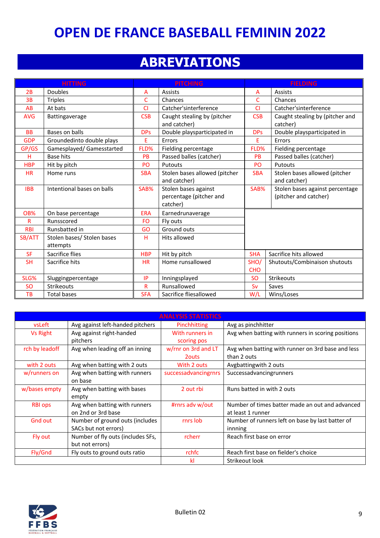### **ABREVIATIONS**

|            | <b>HITTING</b>             |            | <b>PITCHING</b>               | <b>FIELDING</b> |                                 |
|------------|----------------------------|------------|-------------------------------|-----------------|---------------------------------|
| 2B         | <b>Doubles</b>             | A          | <b>Assists</b>                | A               | Assists                         |
| 3B         | <b>Triples</b>             | C          | Chances                       | C               | Chances                         |
| AB         | At bats                    | <b>CI</b>  | Catcher'sinterference         | C1              | Catcher'sinterference           |
| <b>AVG</b> | Battingaverage             | <b>CSB</b> | Caught stealing by (pitcher   | <b>CSB</b>      | Caught stealing by (pitcher and |
|            |                            |            | and catcher)                  |                 | catcher)                        |
| <b>BB</b>  | Bases on balls             | <b>DPs</b> | Double playsparticipated in   | <b>DPs</b>      | Double playsparticipated in     |
| <b>GDP</b> | Groundedinto double plays  | E          | Errors                        | E               | Errors                          |
| GP/GS      | Gamesplayed/ Gamesstarted  | FLD%       | Fielding percentage           | FLD%            | Fielding percentage             |
| н          | Base hits                  | PB         | Passed balles (catcher)       | <b>PB</b>       | Passed balles (catcher)         |
| <b>HBP</b> | Hit by pitch               | PO         | Putouts                       | PO              | Putouts                         |
| <b>HR</b>  | Home runs                  | <b>SBA</b> | Stolen bases allowed (pitcher | <b>SBA</b>      | Stolen bases allowed (pitcher   |
|            |                            |            | and catcher)                  |                 | and catcher)                    |
| <b>IBB</b> | Intentional bases on balls | SAB%       | Stolen bases against          | SAB%            | Stolen bases against percentage |
|            |                            |            | percentage (pitcher and       |                 | (pitcher and catcher)           |
|            |                            |            | catcher)                      |                 |                                 |
| OB%        | On base percentage         | <b>ERA</b> | Earnedrunaverage              |                 |                                 |
| R          | Runsscored                 | FO.        | Fly outs                      |                 |                                 |
| <b>RBI</b> | Runsbatted in              | GO         | Ground outs                   |                 |                                 |
| SB/ATT     | Stolen bases/ Stolen bases | H.         | Hits allowed                  |                 |                                 |
|            | attempts                   |            |                               |                 |                                 |
| <b>SF</b>  | Sacrifice flies            | <b>HBP</b> | Hit by pitch                  | <b>SHA</b>      | Sacrifice hits allowed          |
| <b>SH</b>  | Sacrifice hits             | <b>HR</b>  | Home runsallowed              | SHO/            | Shutouts/Combinaison shutouts   |
|            |                            |            |                               | <b>CHO</b>      |                                 |
| SLG%       | Sluggingpercentage         | IP         | Inningsplayed                 | <b>SO</b>       | Strikeouts                      |
| <b>SO</b>  | <b>Strikeouts</b>          | R          | Runsallowed                   | Sv              | Saves                           |
| TB         | <b>Total bases</b>         | <b>SFA</b> | Sacrifice fliesallowed        | W/L             | Wins/Loses                      |

|                 |                                   | <b>ANALYSIS STATISTICS</b> |                                                    |
|-----------------|-----------------------------------|----------------------------|----------------------------------------------------|
| vsLeft          | Avg against left-handed pitchers  | Pinchhitting               | Avg as pinchhitter                                 |
| <b>Vs Right</b> | Avg against right-handed          | With runners in            | Avg when batting with runners in scoring positions |
|                 | pitchers                          | scoring pos                |                                                    |
| rch by leadoff  | Avg when leading off an inning    | w/rnr on 3rd and LT        | Avg when batting with runner on 3rd base and less  |
|                 |                                   | 2 <sub>outs</sub>          | than 2 outs                                        |
| with 2 outs     | Avg when batting with 2 outs      | With 2 outs                | Avgbattingwith 2 outs                              |
| w/runners on    | Avg when batting with runners     | successadvancingrnrs       | Successadvancingrunners                            |
|                 | on base                           |                            |                                                    |
| w/bases empty   | Avg when batting with bases       | 2 out rbi                  | Runs batted in with 2 outs                         |
|                 | empty                             |                            |                                                    |
| <b>RBI ops</b>  | Avg when batting with runners     | #rnrs adv w/out            | Number of times batter made an out and advanced    |
|                 | on 2nd or 3rd base                |                            | at least 1 runner                                  |
| <b>Gnd out</b>  | Number of ground outs (includes   | rnrs lob                   | Number of runners left on base by last batter of   |
|                 | SACs but not errors)              |                            | innning                                            |
| Fly out         | Number of fly outs (includes SFs, | rcherr                     | Reach first base on error                          |
|                 | but not errors)                   |                            |                                                    |
| Fly/Gnd         | Fly outs to ground outs ratio     | rchfc                      | Reach first base on fielder's choice               |
|                 |                                   | kl                         | Strikeout look                                     |

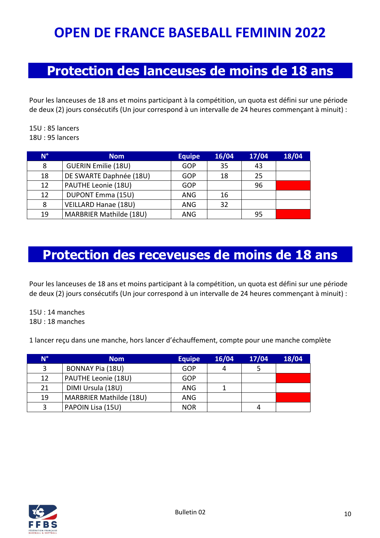### **Protection des lanceuses de moins de 18 ans**

Pour les lanceuses de 18 ans et moins participant à la compétition, un quota est défini sur une période de deux (2) jours consécutifs (Un jour correspond à un intervalle de 24 heures commençant à minuit) :

15U : 85 lancers 18U : 95 lancers

| $N^{\circ}$ | <b>Nom</b>                 | <b>Equipe</b> | 16/04 | 17/04 | 18/04 |
|-------------|----------------------------|---------------|-------|-------|-------|
| 8           | <b>GUERIN Emilie (18U)</b> | <b>GOP</b>    | 35    | 43    |       |
| 18          | DE SWARTE Daphnée (18U)    | GOP           | 18    | 25    |       |
| 12          | PAUTHE Leonie (18U)        | GOP           |       | 96    |       |
| 12          | DUPONT Emma (15U)          | ANG           | 16    |       |       |
| 8           | VEILLARD Hanae (18U)       | ANG           | 32    |       |       |
| 19          | MARBRIER Mathilde (18U)    | ANG           |       | 95    |       |

### **Protection des receveuses de moins de 18 ans**

Pour les lanceuses de 18 ans et moins participant à la compétition, un quota est défini sur une période de deux (2) jours consécutifs (Un jour correspond à un intervalle de 24 heures commençant à minuit) :

15U : 14 manches 18U : 18 manches

1 lancer reçu dans une manche, hors lancer d'échauffement, compte pour une manche complète

| <b>N°</b> | <b>Nom</b>                     | <b>Equipe</b> | 16/04 | 17/04 | 18/04 |
|-----------|--------------------------------|---------------|-------|-------|-------|
| 3         | <b>BONNAY Pia (18U)</b>        | <b>GOP</b>    |       |       |       |
| 12        | PAUTHE Leonie (18U)            | GOP           |       |       |       |
| 21        | DIMI Ursula (18U)              | ANG           |       |       |       |
| 19        | <b>MARBRIER Mathilde (18U)</b> | ANG           |       |       |       |
| 3         | PAPOIN Lisa (15U)              | <b>NOR</b>    |       |       |       |